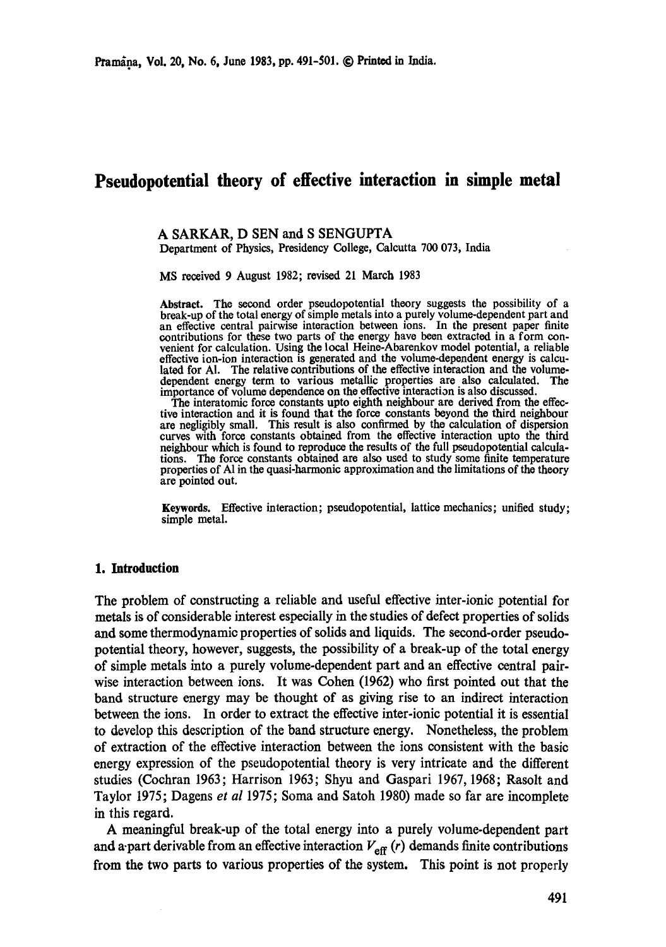# **Pseudopotential theory of effective interaction in simple metal**

#### **A SARKAR, D** SEN and S SENGUPTA

Department of Physics, Presidency College, Calcutta 700 073, India

MS received 9 August 1982; revised 21 March 1983

Abstract. The second order pseudopotential theory suggests the possibility of a break-up of the total energy of simple metals into a purely volume-dependent part and an effective central pairwise interaction between ions. In the present paper finite contributions for these two parts of the energy have been extracted in a form convenient for calculation. Using the local Heine-Abarenkov model potential, a reliable effective ion-ion interaction is generated and the volume-dependent energy is calculated for Al. The relative contributions of the effective interaction and the volume-<br>dependent energy term to various metallic properties are also calculated. The dependent energy term to various metallic properties are also calculated. The importance of volume dependence on the effective interaction is also discussed.

The interatomic force constants upto eighth neighbour are derived from the effective interaction and it is found that the force constants beyond the third neighbour are negligibly small. This result is also confirmed by the calculation of dispersion curves with force constants obtained from the effective interaction upto the third neighbour which is found to reproduce the results of the full psoudopotential calculations. The force constants obtained are also used to study some finite temperature properties of A1 in the quasi-harmonic approximation and the limitations of the theory are pointed out.

Keywords. Effective interaction; pseudopotential, lattice mechanics; unified study; simple metal.

## **1. Introduction**

The problem of constructing a reliable and useful effective inter-ionic potential for metals is of considerable interest especially in the studies of defect properties of solids and some thermodynamic properties of solids and liquids. The second-order pseudopotential theory, however, suggests, the possibility of a break-up of the total energy of simple metals into a purely volume-dependent part and an effective central pairwise interaction between ions. It was Cohen (1962) who first pointed out that the band structure energy may be thought of as giving rise to an indirect interaction between the ions. In order to extract the effective inter-ionic potential it is essential to develop this description of the band structure energy. Nonetheless, the problem of extraction of the effective interaction between the ions consistent with the basic energy expression of the pseudopotential theory is very intricate and the different studies (Coehran 1963; Harrison 1963; Shyu and Gaspari 1967, 1968; Rasolt and Taylor 1975; Dagens *et al* 1975; Soma and Satoh 1980) made so far are incomplete in this regard.

A meaningful break-up of the total energy into a purely volume-dependent part and a-part derivable from an effective interaction  $V_{\text{eff}}(r)$  demands finite contributions from the two parts to various properties of the system. This point is not properly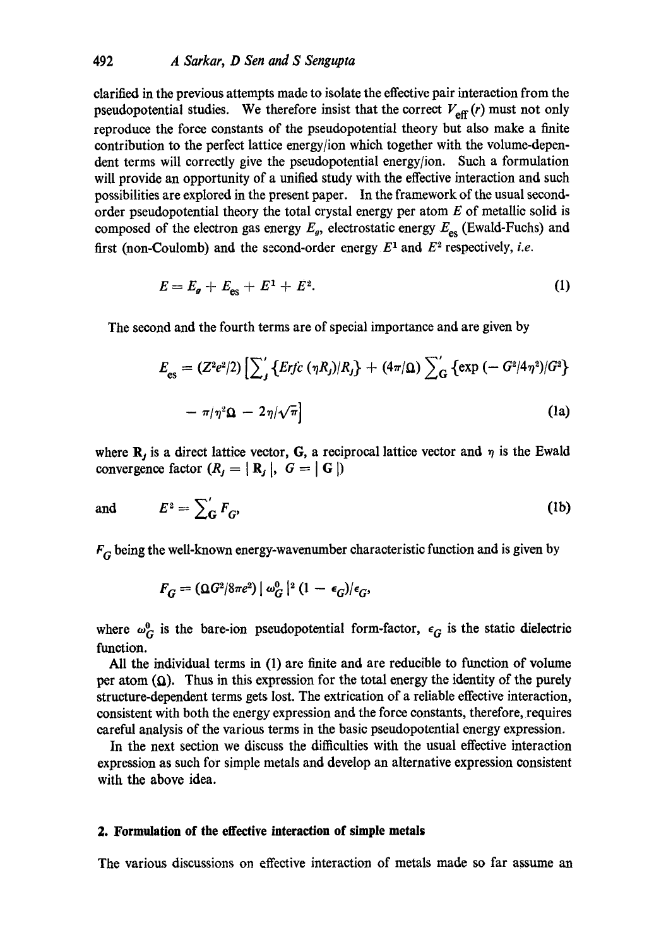clarified in the previous attempts made to isolate the effective pair interaction from the pseudopotential studies. We therefore insist that the correct  $V_{\text{eff}}(r)$  must not only reproduce the force constants of the pseudopotential theory but also make a finite contribution to the perfect lattice energy/ion which together with the volume-dependent terms will correctly give the pseudopotential energy/ion. Such a formulation will provide an opportunity of a unified study with the effective interaction and such possibilities are explored in the present paper. In the framework of the usual secondorder pseudopotential theory the total crystal energy per atom  $E$  of metallic solid is composed of the electron gas energy  $E_g$ , electrostatic energy  $E_{\rm es}$  (Ewald-Fuchs) and first (non-Coulomb) and the second-order energy  $E^1$  and  $E^2$  respectively, *i.e.* 

$$
E = E_g + E_{\rm es} + E^1 + E^2. \tag{1}
$$

The second and the fourth terms are of special importance and are given by

$$
E_{\rm es} = (Z^2 e^2/2) \left[ \sum_j \left\{ E r j c \left( \eta R_j \right) / R_j \right\} + (4 \pi / \Omega) \sum_{\rm G} \left\{ \exp \left( - G^2 / 4 \eta^2 \right) / G^2 \right\} - \pi / \eta^2 \Omega - 2 \eta / \sqrt{\pi} \right]
$$
\n(1a)

where  $\mathbf{R}_j$  is a direct lattice vector, G, a reciprocal lattice vector and  $\eta$  is the Ewald convergence factor  $(R_j = | R_j |, G = | G |)$ 

and 
$$
E^2 = \sum'_{\mathbf{G}} F_{\mathbf{G}^2}
$$
 (1b)

 $F_G$  being the well-known energy-wavenumber characteristic function and is given by

$$
F_G=(\Omega G^2/8\pi e^2)\mid\omega_G^0\mid^2(1-\epsilon_G)/\epsilon_G,
$$

where  $\omega_G^0$  is the bare-ion pseudopotential form-factor,  $\epsilon_G$  is the static dielectric function.

All the individual terms in (1) are finite and are reducible to function of volume per atom  $(Q)$ . Thus in this expression for the total energy the identity of the purely structure-dependent terms gets lost. The extrication of a reliable effective interaction, consistent with both the energy expression and the force constants, therefore, requires careful analysis of the various terms in the basic pseudopotential energy expression.

In the next section we discuss the difficulties with the usual effective interaction expression as such for simple metals and develop an alternative expression consistent with the above idea.

#### **2. Formulation of the effective interaction of simple metals**

The various discussions on effective interaction of metals made so far assume an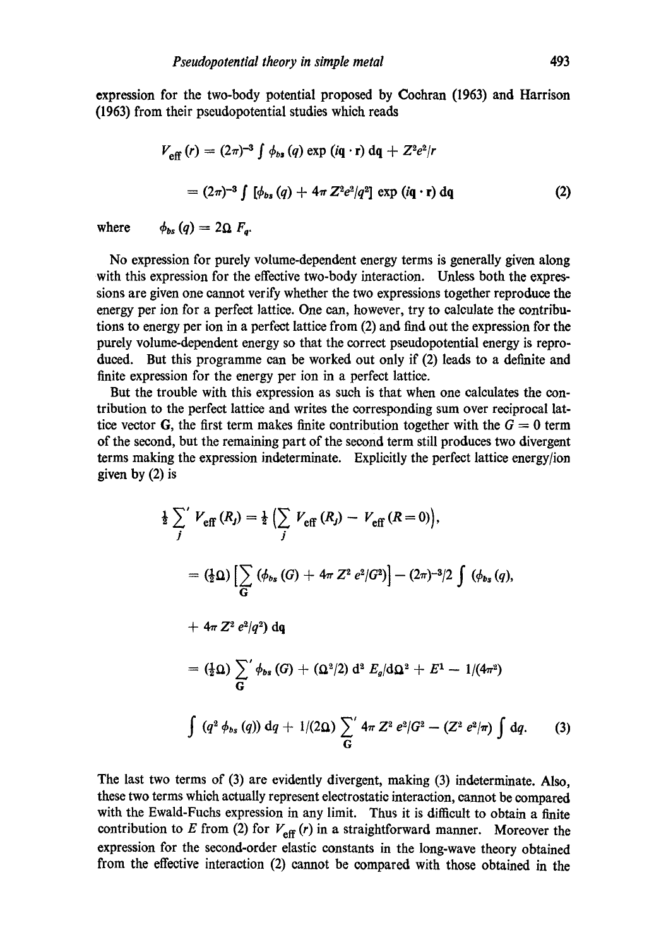expression for the two-body potential proposed by Coehran (1963) and Harrison (1963) from their pseudopotential studies which reads

$$
V_{\text{eff}}(r) = (2\pi)^{-3} \int \phi_{bs}(q) \exp(i\mathbf{q} \cdot \mathbf{r}) d\mathbf{q} + Z^2 e^2/r
$$
  
=  $(2\pi)^{-3} \int [\phi_{bs}(q) + 4\pi Z^2 e^2/q^2] \exp(i\mathbf{q} \cdot \mathbf{r}) d\mathbf{q}$  (2)

where  $\phi_{bs}(q) = 2\Omega F_{q}$ .

No expression for purely volume-dependent energy terms is generally given along with this expression for the effective two-body interaction. Unless both the expressions are given one cannot verify whether the two expressions together reproduce the energy per ion for a perfect lattice. One can, however, try to calculate the contributions to energy per ion in a perfect lattice from (2) and find out the expression for the purely volume-dependent energy so that the correct pseudopotential energy is reprodueed. But this programme can be worked out only if (2) leads to a definite and finite expression for the energy per ion in a perfect lattice.

But the trouble with this expression as such is that when one calculates the contribution to the perfect lattice and writes the corresponding sum over reciprocal lattice vector G, the first term makes finite contribution together with the  $G = 0$  term of the second, but the remaining part of the second term still produces two divergent terms making the expression indeterminate. Explicitly the perfect lattice energy/ion given by (2) is

$$
\frac{1}{2} \sum_{j}^{\prime} V_{\text{eff}}(R_{j}) = \frac{1}{2} \left( \sum_{j} V_{\text{eff}}(R_{j}) - V_{\text{eff}}(R=0) \right),
$$
\n
$$
= (\frac{1}{2} \Omega) \left[ \sum_{G} (\phi_{bs}(G) + 4\pi Z^{2} e^{2} | G^{2}) \right] - (2\pi)^{-3} / 2 \int (\phi_{bs}(q),
$$
\n
$$
+ 4\pi Z^{2} e^{2} | q^{2} ) dq
$$
\n
$$
= (\frac{1}{2} \Omega) \sum_{G}^{\prime} \phi_{bs}(G) + (\Omega^{2} / 2) d^{2} E_{g} / d\Omega^{2} + E^{1} - 1 / (4\pi^{2})
$$
\n
$$
\int (q^{2} \phi_{bs}(q)) dq + 1 / (2\Omega) \sum_{G}^{\prime} 4\pi Z^{2} e^{2} | G^{2} - (Z^{2} e^{2} | \pi) \int dq. \qquad (3)
$$

The last two terms of (3) are evidently divergent, making (3) indeterminate. Also, these two terms which actually represent electrostatic interaction, cannot be compared with the Ewald-Fuchs expression in any limit. Thus it is difficult to obtain a finite contribution to E from (2) for  $V_{\text{eff}}(r)$  in a straightforward manner. Moreover the expression for the second-order elastic constants in the long-wave theory obtained from the effective interaction (2) cannot be compared with those obtained in the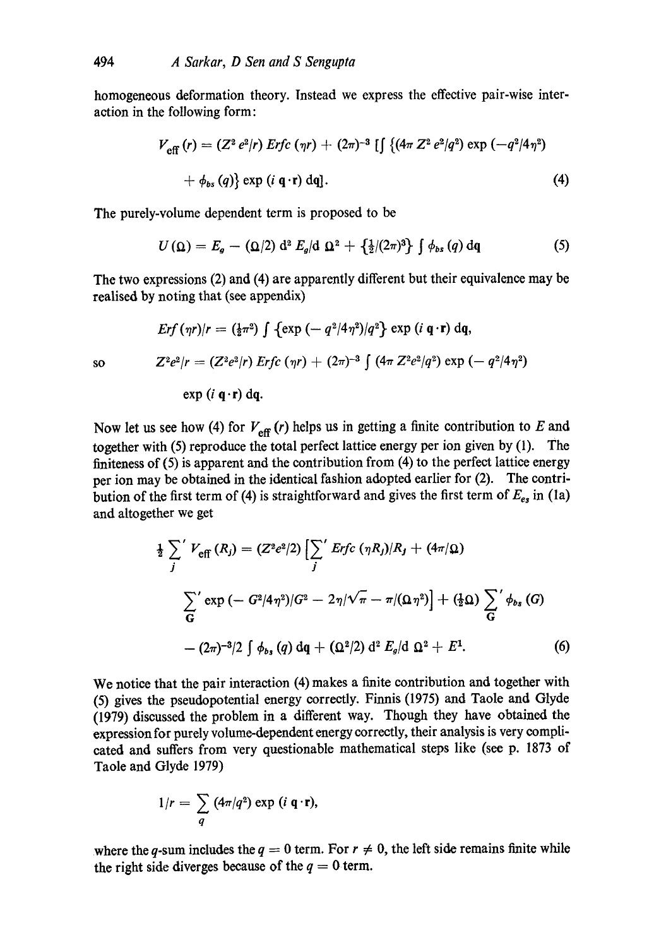homogeneous deformation theory. Instead we express the effective pair-wise interaction in the following form:

$$
V_{\text{eff}}(r) = (Z^2 e^2/r) \text{ Erfc } (\eta r) + (2\pi)^{-3} \left[ \int \{ (4\pi Z^2 e^2/q^2) \exp (-q^2/4\eta^2) + \phi_{bs}(q) \} \exp (i \mathbf{q} \cdot \mathbf{r}) \, \mathrm{d}\mathbf{q} \right]. \tag{4}
$$

The purely-volume dependent term is proposed to be

$$
U(\Omega) = E_g - (\Omega/2) d^2 E_g/d \Omega^2 + \left\{ \frac{1}{2} / (2\pi)^3 \right\} \int \phi_{bs}(q) dq \tag{5}
$$

The two expressions (2) and (4) are apparently different but their equivalence may be realised by noting that (see appendix)

$$
Erf(\eta r)/r = (\frac{1}{2}\pi^2) \int \{ \exp(-q^2/4\eta^2)/q^2 \} \exp(i\mathbf{q} \cdot \mathbf{r}) d\mathbf{q},
$$
  
so 
$$
Z^2e^2/r = (Z^2e^2/r) Erfc(\eta r) + (2\pi)^{-3} \int (4\pi Z^2e^2/q^2) \exp(-q^2/4\eta^2)
$$

$$
\exp(i \mathbf{q} \cdot \mathbf{r}) \, \mathrm{d}\mathbf{q}.
$$

Now let us see how (4) for  $V_{\text{eff}}(r)$  helps us in getting a finite contribution to E and together with (5) reproduce the total perfect lattice energy per ion given by (1). The finiteness of (5) is apparent and the contribution from (4) to the perfect lattice energy per ion may be obtained in the identical fashion adopted earlier for (2). The contribution of the first term of (4) is straightforward and gives the first term of  $E_{es}$  in (la) and altogether we get

$$
\frac{1}{2} \sum_{j}^{\prime} V_{\text{eff}}(R_{j}) = (Z^{2}e^{2}/2) \left[ \sum_{j}^{\prime} Erfc \left( \eta R_{j} \right) / R_{j} + (4\pi/\Omega) \right]
$$
\n
$$
\sum_{j}^{\prime} \exp \left( -G^{2}/4\eta^{2} \right) / G^{2} - 2\eta / \sqrt{\pi} - \pi / (\Omega \eta^{2}) \right] + (\frac{1}{2}\Omega) \sum_{j}^{\prime} \phi_{bs} (G)
$$
\n
$$
- (2\pi)^{-3}/2 \int \phi_{bs} (q) dq + (\Omega^{2}/2) d^{2} E_{g} / d \Omega^{2} + E^{1}. \tag{6}
$$

We notice that the pair interaction (4) makes a finite contribution and together with (5) gives the pseudopotential energy correctly. Finnis (1975) and Taole and Glyde (1979) discussed the problem in a different way. Though they have obtained the expression for purely volume-dependent energy eorreetly, their analysis is very complicated and suffers from very questionable mathematical steps like (see p. 1873 of Taole and Glyde 1979)

$$
1/r = \sum_{q} (4\pi/q^2) \exp(i \mathbf{q} \cdot \mathbf{r}),
$$

where the q-sum includes the  $q = 0$  term. For  $r \neq 0$ , the left side remains finite while the right side diverges because of the  $q = 0$  term.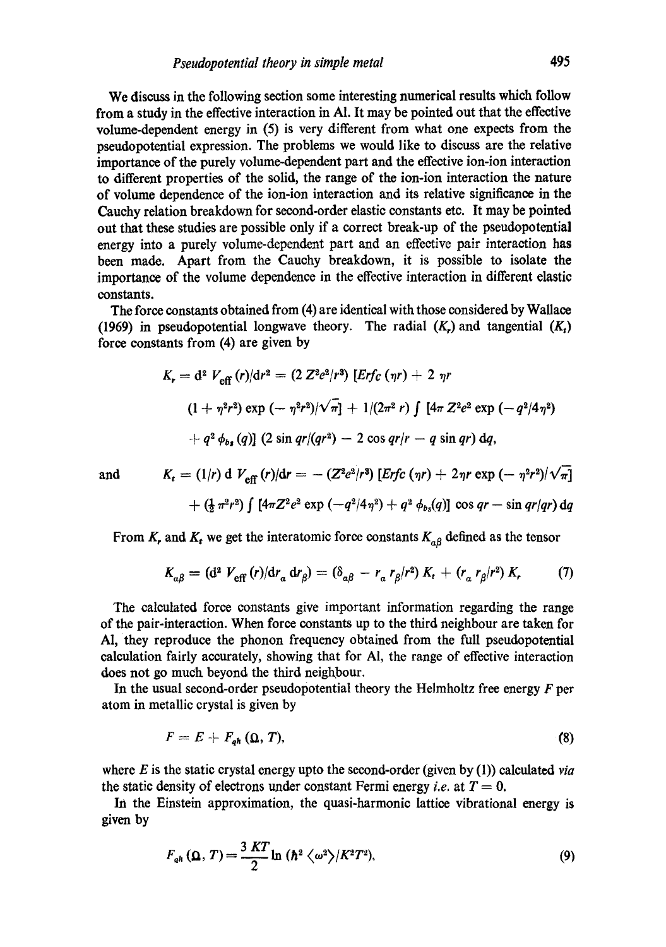We discuss in the following section some interesting numerical results which follow from a study in the effective interaction in A1. It may be pointed out that the effective volume-dependent energy in (5) is very different from what one expects from the pseudopotential expression. The problems we would like to discuss are the relative importance of the purely volume-dependent part and the effective ion-ion interaction to different properties of the solid, the range of the ion-ion interaction the nature of volume dependence of the ion-ion interaction and its relative significance in the Cauchy relation breakdown for second-order elastic constants etc. It may be pointed out that these studies are possible only if a correct break-up of the pseudopotential energy into a purely volume-dependent part and an effective pair interaction has been made. Apart from the Cauehy breakdown, it is possible to isolate the importance of the volume dependence in the effective interaction in different elastic constants.

The force constants obtained from (4) are identical with those considered by Wallace (1969) in pseudopotential longwave theory. The radial  $(K<sub>r</sub>)$  and tangential  $(K<sub>t</sub>)$ force constants from (4) are given by

$$
K_r = d^2 V_{\text{eff}}(r)/dr^2 = (2 Z^2 e^2/r^3) \left[ E r f_c(\eta r) + 2 \eta r \right]
$$
  

$$
(1 + \eta^2 r^2) \exp(-\eta^2 r^2)/\sqrt{\eta} + 1/(2\pi^2 r) \int [4\pi Z^2 e^2 \exp(-q^2/4\eta^2) + q^2 \phi_{bs}(q)] (2 \sin qr/(qr^2) - 2 \cos qr/r - q \sin qr) dq,
$$

and 
$$
K_t = (1/r) d V_{eff}(r)/dr = -(Z^2 e^2/r^3) [E r f c (\eta r) + 2 \eta r \exp(-\eta^2 r^2)/\sqrt{\pi}]
$$
  
  $+ (\frac{1}{2} \pi^2 r^2) \int [4\pi Z^2 e^2 \exp(-q^2/4\eta^2) + q^2 \phi_{bs}(q)] \cos qr - \sin qr/qr) dq$ 

From  $K_r$ , and  $K_t$  we get the interatomic force constants  $K_{\alpha\beta}$  defined as the tensor

$$
K_{\alpha\beta} = (\mathbf{d}^2 \ V_{\text{eff}}(r) / \mathbf{d}r_{\alpha} \, \mathbf{d}r_{\beta}) = (\delta_{\alpha\beta} - r_{\alpha} \, r_{\beta}/r^2) \, K_t + (r_{\alpha} \, r_{\beta}/r^2) \, K_r \tag{7}
$$

The calculated force constants give important information regarding the range of the pair-interaction. When force constants up to the third neighbour are taken for A1, they reproduce the phonon frequency obtained from the full pseudopotential calculation fairly accurately, showing that for AI, the range of effective interaction does not go much beyond the third neighbour.

In the usual second-order pseudopotential theory the Helmholtz free energy  $F$  per atom in metallic crystal is given by

$$
F = E + F_{gh}(\Omega, T), \tag{8}
$$

where E is the static crystal energy upto the second-order (given by (1)) calculated *via*  the static density of electrons under constant Fermi energy *i.e.* at  $T = 0$ .

In the Einstein approximation, the quasi-harmonic lattice vibrational energy is given by

$$
F_{ah}(\Omega, T) = \frac{3KT}{2}\ln\left(\hbar^2 \left\langle \omega^2 \right\rangle / K^2 T^2\right),\tag{9}
$$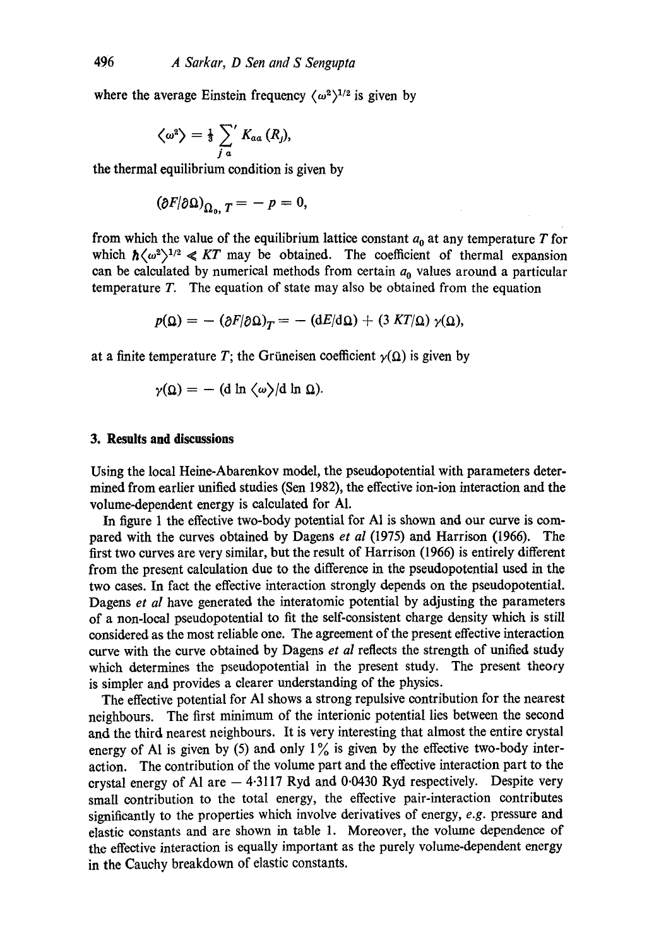where the average Einstein frequency  $\langle \omega^2 \rangle^{1/2}$  is given by

$$
\left\langle \omega^2 \right\rangle = \tfrac{1}{3} \sum_{j\,a}^{\prime} K_{a\,a} \left( R_j \right),
$$

the thermal equilibrium condition is given by

$$
(\partial F/\partial \Omega)_{\Omega_0,T} = -p = 0,
$$

from which the value of the equilibrium lattice constant  $a_0$  at any temperature T for which  $\hbar \langle \omega^2 \rangle^{1/2} \ll KT$  may be obtained. The coefficient of thermal expansion can be calculated by numerical methods from certain  $a_0$  values around a particular temperature T. The equation of state may also be obtained from the equation

$$
p(\Omega) = -(\partial F/\partial \Omega)_T = -(dE/d\Omega) + (3 KT/\Omega) \gamma(\Omega),
$$

at a finite temperature T; the Grüneisen coefficient  $\gamma(\Omega)$  is given by

$$
\gamma(\Omega) = - \left( \frac{d \ln \langle \omega \rangle}{d \ln \Omega} \right).
$$

# **3. Results and discussions**

Using the local Heine-Abarenkov model, the pseudopotential with parameters determined from earlier unified studies (Sen 1982), the effective ion-ion interaction and the volume-dependent energy is calculated for A1.

In figure 1 the effective two-body potential for A1 is shown and our curve is compared with the curves obtained by Dagens *et al* (1975) and Harrison (1966). The first two curves are very similar, but the result of Harrison (1966) is entirely different from the present calculation due to the difference in the pseudopotential used in the two cases. In fact the effective interaction strongly depends on the pseudopotential. Dagens *et al* have generated the interatomic potential by adjusting the parameters of a non-local pseudopotential to fit the self-consistent charge density which is still considered as the most reliable one. The agreement of the present effective interaction curve with the curve obtained by Dagens *et al* reflects the strength of unified study which determines the pseudopotential in the present study. The present theory is simpler and provides a dearer understanding of the physics.

The effective potential for A1 shows a strong repulsive contribution for the nearest neighbours. The first minimum of the interionic potential lies between the second and the third nearest neighbours. It is very interesting that almost the entire crystal energy of Al is given by (5) and only  $1\%$  is given by the effective two-body interaction. The contribution of the volume part and the effective interaction part to the crystal energy of Al are  $-4.3117$  Ryd and 0.0430 Ryd respectively. Despite very small contribution to the total energy, the effective pair-interaction contributes significantly to the properties which involve derivatives of energy, *e.g.* pressure and elastic constants and are shown in table 1. Moreover, the volume dependence of the effective interaction is equally important as the purely volume-dependent energy in the Cauehy breakdown of elastic constants.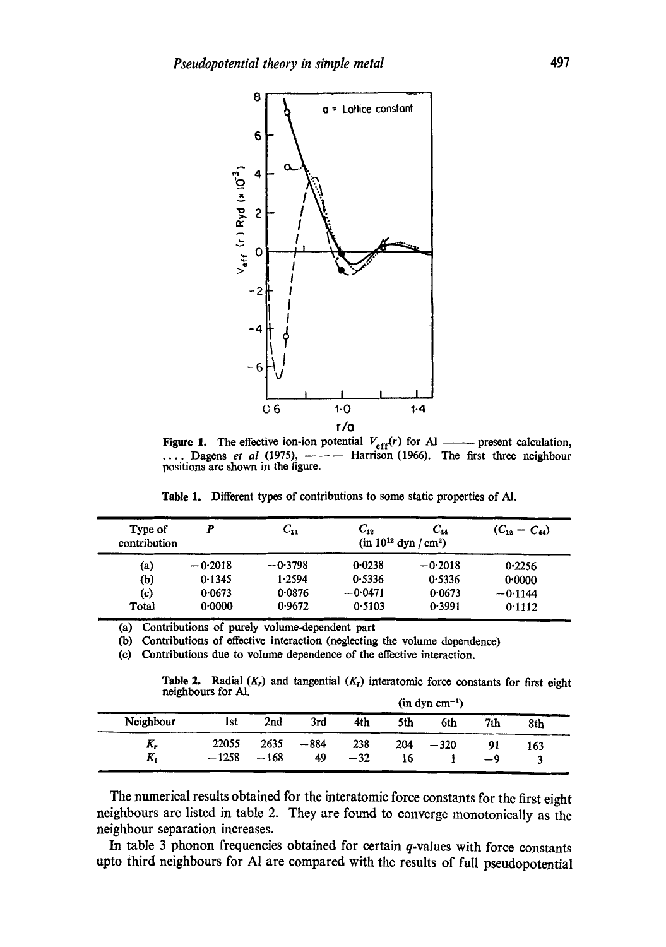

**Figure 1.** The effective ion-ion potential  $V_{\text{eff}}(r)$  for Al —— present calculation,  $\ldots$ . Dagens *et al* (1975),  $---$  Harrison (1966). The first three neighbour positions are shown in the figure.

**Table** 1. Different types of contributions to some static properties of AJ.

| Type of<br>contribution | p                | $C_{11}$         | $C_{\rm 12}$        | $C_{44}$<br>$(in 10^{12} dyn/cm^2)$ | $(C_{12}-C_{44})$   |
|-------------------------|------------------|------------------|---------------------|-------------------------------------|---------------------|
| (a)                     | $-0.2018$        | $-0.3798$        | 0.0238              | $-0.2018$                           | 0.2256              |
| (b)<br>(c)              | 0.1345<br>0.0673 | 1.2594<br>0.0876 | 0.5336<br>$-0.0471$ | 0.5336<br>0.0673                    | 0.0000<br>$-0.1144$ |
| Total                   | 0.0000           | 0.9672           | 0.5103              | 0.3991                              | 0.1112              |

(a) Contributions of purely volume-dependent part

(b) Contributions of effective interaction (neglecting the volume dependence)

(c) Contributions due to volume dependence of the effective interaction.

**Table 2.** Radial  $(K_r)$  and tangential  $(K_t)$  interatomic force constants for first eight neighbours for Al.

|           |         |        |        |       |     | $(in \, dyn \, cm^{-1})$ |                 |     |
|-----------|---------|--------|--------|-------|-----|--------------------------|-----------------|-----|
| Neighbour | 1st     | 2nd    | 3rd    | 4th   | 5th | 6th                      | 7 <sub>th</sub> | 8th |
| K,        | 22055   | 2635   | $-884$ | 238   | 204 | $-320$                   |                 | 163 |
| $K_t$     | $-1258$ | $-168$ | 49     | $-32$ | 16  |                          | $-9$            |     |

The numerical results obtained for the interatomic force constants for the first eight neighbours are listed in table 2. They are found to converge monotonically as the neighbour separation increases.

In table 3 phonon frequencies obtained for certain  $q$ -values with force constants upto third neighbours for A1 are compared with the results of full pseudopotential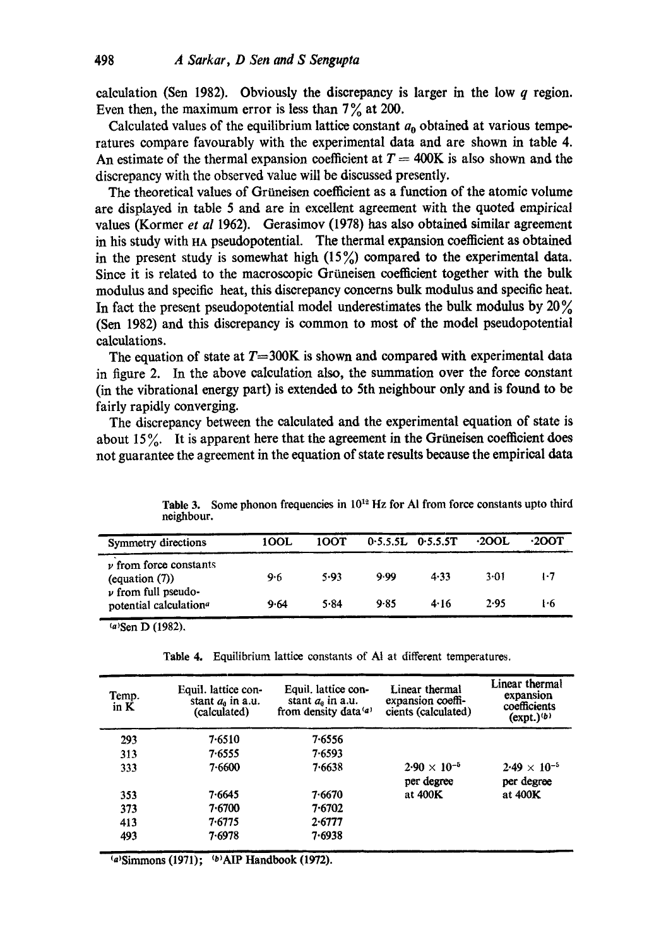calculation (Sen 1982). Obviously the discrepancy is larger in the low  $q$  region. Even then, the maximum error is less than  $7\%$  at 200.

Calculated values of the equilibrium lattice constant  $a_0$  obtained at various temperatures compare favourably with the experimental data and are shown in table 4. An estimate of the thermal expansion coefficient at  $T = 400K$  is also shown and the discrepancy with the observed value will be discussed presently.

The theoretical values of Grüneisen coefficient as a function of the atomic volume are displayed in table 5 and are in excellent agreement with the quoted empirical values (Kormer *et al* 1962). Gerasimov (1978) has also obtained similar agreement in his study with HA pseudopotential. The thermal expansion coefficient as obtained in the present study is somewhat high  $(15\%)$  compared to the experimental data. Since it is related to the macroscopic Griineisen coefficient together with the bulk modulus and specific heat, this discrepancy concerns bulk modulus and specific heat. In fact the present pseudopotential model underestimates the bulk modulus by  $20\%$ (Sen 1982) and this discrepancy is common to most of the model pseudopotential calculations.

The equation of state at  $T=300K$  is shown and compared with experimental data in figure 2. In the above calculation also, the summation over the force constant (in the vibrational energy part) is extended to 5th neighbour only and is found to be fairly rapidly converging.

The discrepancy between the calculated and the experimental equation of state is about  $15\%$ . It is apparent here that the agreement in the Grüneisen coefficient does not guarantee the agreement in the equation of state results because the empirical data

| Symmetry directions                                           | 100L | 10OT |      | $0.5.5.5L$ $0.5.5.5T$ | $\cdot$ 200L | .2OOT |
|---------------------------------------------------------------|------|------|------|-----------------------|--------------|-------|
| $\nu$ from force constants<br>(equation $(7)$ )               | 9.6  | 5.93 | 9.99 | 4.33                  | $3 - 01$     | 1.7   |
| $\nu$ from full pseudo-<br>potential calculation <sup>a</sup> | 9.64 | 5.84 | 9.85 | 4.16                  | 2.95         | l 6   |

Table 3. Some phonon frequencies in 10<sup>12</sup> Hz for Al from force constants upto third noighbour.

 $(a)$ Sen D (1982).

Table 4. Equilibrium lattice constants of At at different temperatures,

| Temp.<br>in $K$ | Equil. lattice con-<br>stant $a_0$ in a.u.<br>(calculated) | Equil, lattice con-<br>stant $a_0$ in a.u.<br>from density data (a) | Linear thermal<br>expansion coeffi-<br>cients (calculated) | Linear thermal<br>expansion<br>coefficients<br>$(expt.)^{(b)}$ |
|-----------------|------------------------------------------------------------|---------------------------------------------------------------------|------------------------------------------------------------|----------------------------------------------------------------|
| 293             | 7.6510                                                     | 7.6556                                                              |                                                            |                                                                |
| 313             | 7.6555                                                     | 7.6593                                                              |                                                            |                                                                |
| 333             | 7.6600                                                     | 7.6638                                                              | $2.90 \times 10^{-5}$<br>per degree                        | $2.49 \times 10^{-5}$<br>per degree                            |
| 353             | 7·6645                                                     | 7.6670                                                              | at 400K                                                    | at 400K                                                        |
| 373             | 7.6700                                                     | 7.6702                                                              |                                                            |                                                                |
| 413             | 7.6775                                                     | 2.6777                                                              |                                                            |                                                                |
| 493             | 7.6978                                                     | 7.6938                                                              |                                                            |                                                                |

(a)Simmons (1971); (b) AIP Handbook (1972).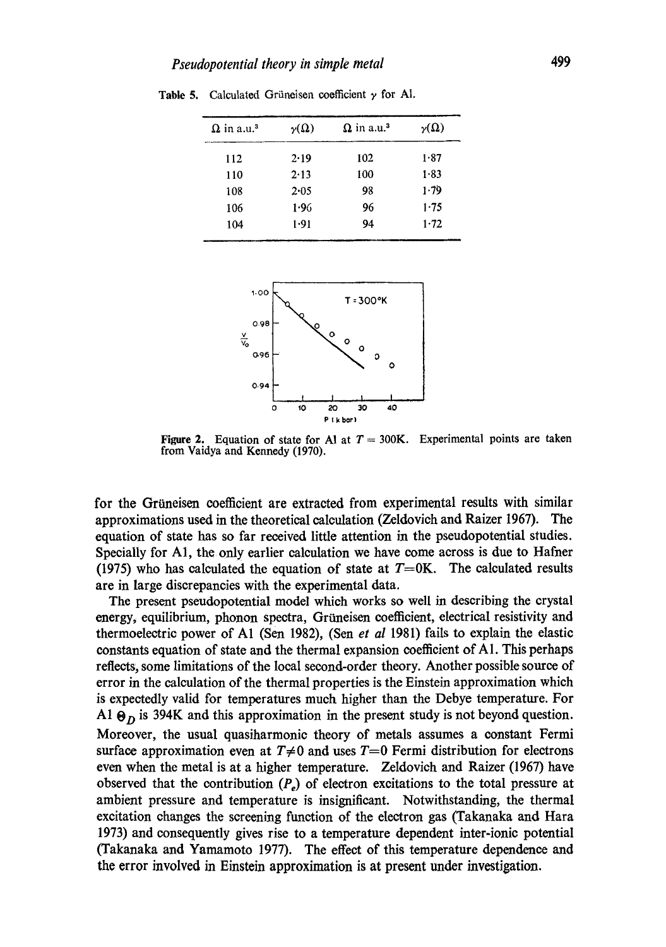| $\Omega$ in a.u. <sup>3</sup> | $\gamma(\Omega)$ | $\Omega$ in a.u. <sup>3</sup> | $\nu(\Omega)$ |
|-------------------------------|------------------|-------------------------------|---------------|
| 112                           | 2.19             | 102                           | 1.87          |
| 110                           | 2.13             | 100                           | $1 - 83$      |
| 108                           | 2.05             | 98                            | 1.79          |
| 106                           | 1.96             | 96                            | 1.75          |
| 104                           | 1.91             | 94                            | $1 - 72$      |

Table 5. Calculated Grüneisen coefficient  $\gamma$  for A1.



Figure 2. Equation of state for Al at  $T = 300$ K. Experimental points are taken from Vaidya and Kennedy (1970).

for the Grüneisen coefficient are extracted from experimental results with similar approximations used in the theoretical calculation (Zeldovieh and Raizer 1967). The equation of state has so far received little attention in the pseudopotential studies. Specially for A1, the only earlier calculation we have come across is due to Hafner (1975) who has calculated the equation of state at  $T=0$ K. The calculated results are in large discrepancies with the experimental data.

The present pseudopotential model which works so well in describing the crystal energy, equilibrium, phonon spectra, Grüneisen coefficient, electrical resistivity and thermoelectric power of A1 (Sen 1982), (Sen *et al* 1981) fails to explain the elastic constants equation of state and the thermal expansion coefficient of  $A1$ . This perhaps reflects, some limitations of the local second-order theory. Another possible source of error in the calculation of the thermal properties is the Einstein approximation which is expectedly valid for temperatures much higher than the Debye temperature. For A1  $\Theta_D$  is 394K and this approximation in the present study is not beyond question. Moreover, the usual quasiharmonie theory of metals assumes a constant Fermi surface approximation even at  $T\neq 0$  and uses  $T=0$  Fermi distribution for electrons even when the metal is at a higher temperature. Zeldovieh and Raizer (1967) have observed that the contribution  $(P<sub>e</sub>)$  of electron excitations to the total pressure at ambient pressure and temperature is insignificant. Notwithstanding, the thermal excitation changes the screening function of the deetron gas (Takanaka and Hara 1973) and consequently gives rise to a temperature dependent inter-ionic potential (Takanaka and Yamamoto 1977). The effect of this temperature dependence and the error involved in Einstein approximation is at present under investigation.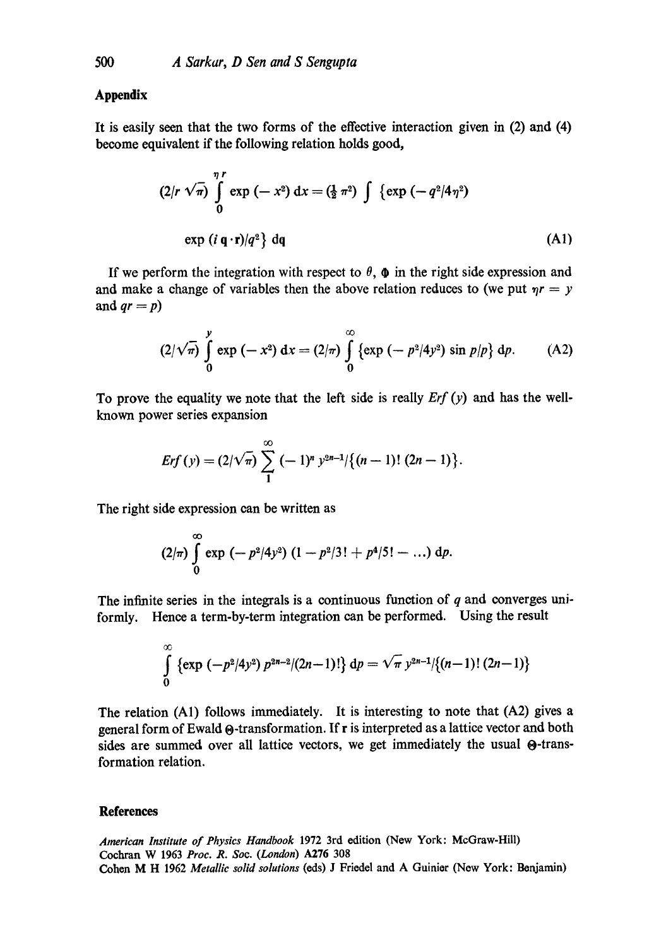## **Appendix**

It is easily seen that the two forms of the effective interaction given in (2) and (4) become equivalent if the following relation holds good,

$$
(2/r \sqrt{\pi}) \int_{0}^{\eta} \exp(-x^{2}) dx = (\frac{1}{2} \pi^{2}) \int {\exp(-q^{2}/4\eta^{2})}
$$
  
exp (i q \cdot r)/q^{2} dq (A1)

If we perform the integration with respect to  $\theta$ ,  $\phi$  in the right side expression and and make a change of variables then the above relation reduces to (we put  $\eta r = y$ and  $qr = p$ )

$$
(2/\sqrt{\pi})\int_{0}^{y}\exp(-x^{2}) dx = (2/\pi)\int_{0}^{\infty}\{\exp(-p^{2}/4y^{2})\sin p/p\} dp.
$$
 (A2)

To prove the equality we note that the left side is really *Erf (y)* and has the wellknown power series expansion

$$
Erf(y) = (2/\sqrt{\pi}) \sum_{1}^{\infty} (-1)^n y^{2n-1}/\{(n-1)!(2n-1)\}.
$$

The right side expression can be written as

$$
(2/\pi)\int_{0}^{\infty}\exp(-p^{2}/4y^{2}) (1-p^{2}/3!+p^{4}/5!-\ldots) dp.
$$

The infinite series in the integrals is a continuous function of  $q$  and converges uniformly. Hence a term-by-term integration can be performed. Using the result

$$
\int_{0}^{\infty} {\exp(-p^{2}/4y^{2}) p^{2n-2}/(2n-1)!} dp = \sqrt{\pi} y^{2n-1}/\{(n-1)!(2n-1)\}
$$

The relation (A1) follows immediately. It is interesting to note that (A2) gives a general form of Ewald  $\Theta$ -transformation. If r is interpreted as a lattice vector and both sides are summed over all lattice vectors, we get immediately the usual  $\Theta$ -transformation relation.

#### **References**

*American Institute of Physics Handbook* 1972 3rd edition (New York: McGraw-Hill) Coehran W 1963 *Proc. R. Soc. (London)* A276 308 Cohen M H 1962 *Metallic solid solutions* (eds) J Friodel and A Guinior (Now York: Benjamin)